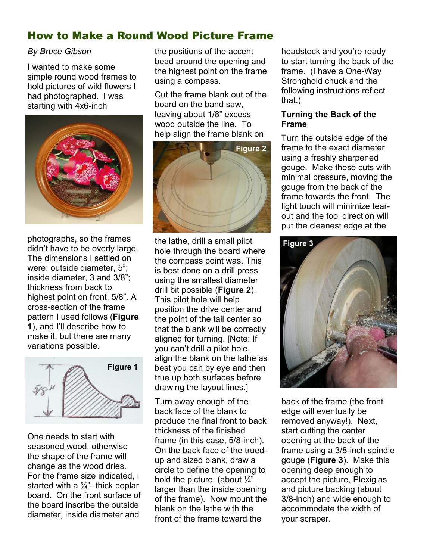# How to Make a Round Wood Picture Frame

## By Bruce Gibson

I wanted to make some simple round wood frames to hold pictures of wild flowers I had photographed. I was starting with 4x6-inch



photographs, so the frames didn't have to be overly large. The dimensions I settled on were: outside diameter, 5"; inside diameter, 3 and 3/8"; thickness from back to highest point on front, 5/8". A cross-section of the frame pattern I used follows (Figure 1), and I'll describe how to make it, but there are many variations possible.



One needs to start with seasoned wood, otherwise the shape of the frame will change as the wood dries. For the frame size indicated, I started with a  $\frac{3}{4}$ "- thick poplar board. On the front surface of the board inscribe the outside diameter, inside diameter and

the positions of the accent bead around the opening and the highest point on the frame using a compass.

Cut the frame blank out of the board on the band saw, leaving about 1/8" excess wood outside the line. To help align the frame blank on



the lathe, drill a small pilot hole through the board where the compass point was. This is best done on a drill press using the smallest diameter drill bit possible (Figure 2). This pilot hole will help position the drive center and the point of the tail center so that the blank will be correctly aligned for turning. [Note: If you can't drill a pilot hole, align the blank on the lathe as best you can by eye and then true up both surfaces before drawing the layout lines.]

Turn away enough of the back face of the blank to produce the final front to back thickness of the finished frame (in this case, 5/8-inch). On the back face of the truedup and sized blank, draw a circle to define the opening to hold the picture (about  $\frac{\sqrt{n}}{4}$ larger than the inside opening of the frame). Now mount the blank on the lathe with the front of the frame toward the

headstock and you're ready to start turning the back of the frame. (I have a One-Way Stronghold chuck and the following instructions reflect that.)

#### Turning the Back of the Frame

Turn the outside edge of the frame to the exact diameter using a freshly sharpened gouge. Make these cuts with minimal pressure, moving the gouge from the back of the frame towards the front. The light touch will minimize tearout and the tool direction will put the cleanest edge at the



back of the frame (the front edge will eventually be removed anyway!). Next, start cutting the center opening at the back of the frame using a 3/8-inch spindle gouge (Figure 3). Make this opening deep enough to accept the picture, Plexiglas and picture backing (about 3/8-inch) and wide enough to accommodate the width of your scraper.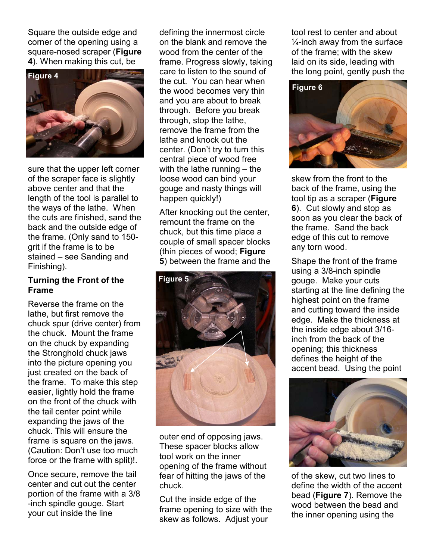Square the outside edge and corner of the opening using a square-nosed scraper (Figure 4). When making this cut, be



sure that the upper left corner of the scraper face is slightly above center and that the length of the tool is parallel to the ways of the lathe. When the cuts are finished, sand the back and the outside edge of the frame. (Only sand to 150 grit if the frame is to be stained – see Sanding and Finishing).

#### Turning the Front of the Frame

Reverse the frame on the lathe, but first remove the chuck spur (drive center) from the chuck. Mount the frame on the chuck by expanding the Stronghold chuck jaws into the picture opening you just created on the back of the frame. To make this step easier, lightly hold the frame on the front of the chuck with the tail center point while expanding the jaws of the chuck. This will ensure the frame is square on the jaws. (Caution: Don't use too much force or the frame with split)!.

Once secure, remove the tail center and cut out the center portion of the frame with a 3/8 -inch spindle gouge. Start your cut inside the line

defining the innermost circle on the blank and remove the wood from the center of the frame. Progress slowly, taking care to listen to the sound of the cut. You can hear when the wood becomes very thin and you are about to break through. Before you break through, stop the lathe, remove the frame from the lathe and knock out the center. (Don't try to turn this central piece of wood free with the lathe running – the loose wood can bind your gouge and nasty things will happen quickly!)

After knocking out the center, remount the frame on the chuck, but this time place a couple of small spacer blocks (thin pieces of wood; Figure 5) between the frame and the



outer end of opposing jaws. These spacer blocks allow tool work on the inner opening of the frame without fear of hitting the jaws of the chuck.

Cut the inside edge of the frame opening to size with the skew as follows. Adjust your

tool rest to center and about  $\frac{1}{4}$ -inch away from the surface of the frame; with the skew laid on its side, leading with the long point, gently push the



skew from the front to the back of the frame, using the tool tip as a scraper (Figure 6). Cut slowly and stop as soon as you clear the back of the frame. Sand the back edge of this cut to remove any torn wood.

Shape the front of the frame using a 3/8-inch spindle gouge. Make your cuts starting at the line defining the highest point on the frame and cutting toward the inside edge. Make the thickness at the inside edge about 3/16 inch from the back of the opening; this thickness defines the height of the accent bead. Using the point



of the skew, cut two lines to define the width of the accent bead (Figure 7). Remove the wood between the bead and the inner opening using the